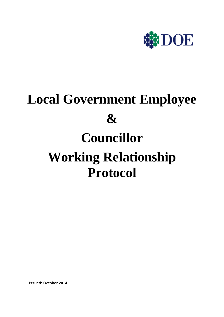

# **Local Government Employee & Councillor Working Relationship Protocol**

 **Issued: October 2014**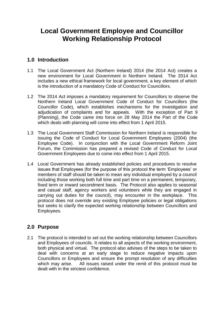## **Local Government Employee and Councillor Working Relationship Protocol**

#### **1.0 Introduction**

- 1.1 The Local Government Act (Northern Ireland) 2014 (the 2014 Act) creates a new environment for Local Government in Northern Ireland. The 2014 Act includes a new ethical framework for local government, a key element of which is the introduction of a mandatory Code of Conduct for Councillors.
- 1.2 The 2014 Act imposes a mandatory requirement for Councillors to observe the Northern Ireland Local Government Code of Conduct for Councillors (the Councillor Code), which establishes mechanisms for the investigation and adjudication of complaints and for appeals. With the exception of Part 9 (Planning), the Code came into force on 28 May 2014 the Part of the Code which deals with planning will come into effect from 1 April 2015.
- 1.3 The Local Government Staff Commission for Northern Ireland is responsible for issuing the Code of Conduct for Local Government Employees (2004) (the Employee Code). In conjunction with the Local Government Reform Joint Forum, the Commission has prepared a revised Code of Conduct for Local Government Employees due to come into effect from 1 April 2015.
- 1.4 Local Government has already established policies and procedures to resolve issues that Employees (for the purpose of this protocol the term 'Employees' or members of staff should be taken to mean any individual employed by a council including those working both full time and part time on a permanent, temporary, fixed term or inward secondment basis. The Protocol also applies to seasonal and casual staff, agency workers and volunteers while they are engaged in carrying out duties for the council), may encounter in the workplace. This protocol does not override any existing Employee policies or legal obligations but seeks to clarify the expected working relationship between Councillors and Employees.

### **2.0 Purpose**

2.1 The protocol is intended to set out the working relationship between Councillors and Employees of councils. It relates to all aspects of the working environment, both physical and virtual. The protocol also advises of the steps to be taken to deal with concerns at an early stage to reduce negative impacts upon Councillors or Employees and ensure the prompt resolution of any difficulties which may arise. All issues raised under the remit of this protocol must be dealt with in the strictest confidence.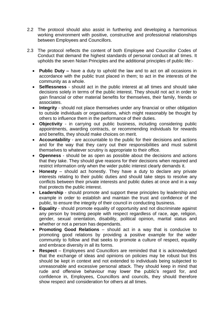- 2.2 The protocol should also assist in furthering and developing a harmonious working environment with positive, constructive and professional relationships between Employees and Councillors.
- 2.3 The protocol reflects the content of both Employee and Councillor Codes of Conduct that demand the highest standards of personal conduct at all times. It upholds the seven Nolan Principles and the additional principles of public life:-
	- **Public Duty –** have a duty to uphold the law and to act on all occasions in accordance with the public trust placed in them; to act in the interests of the community as a whole.
	- **Selflessness** should act in the public interest at all times and should take decisions solely in terms of the public interest. They should not act in order to gain financial or other material benefits for themselves, their family, friends or associates.
	- **Integrity** should not place themselves under any financial or other obligation to outside individuals or organisations, which might reasonably be thought by others to influence them in the performance of their duties.
	- **Objectivity** in carrying out public business, including considering public appointments, awarding contracts, or recommending individuals for rewards and benefits, they should make choices on merit.
	- **Accountability** are accountable to the public for their decisions and actions and for the way that they carry out their responsibilities and must submit themselves to whatever scrutiny is appropriate to their office.
	- **Openness** should be as open as possible about the decisions and actions that they take. They should give reasons for their decisions when required and restrict information only when the wider public interest clearly demands it.
	- **Honesty** should act honestly. They have a duty to declare any private interests relating to their public duties and should take steps to resolve any conflicts between their private interests and public duties at once and in a way that protects the public interest.
	- **Leadership** should promote and support these principles by leadership and example in order to establish and maintain the trust and confidence of the public, to ensure the integrity of their council in conducting business.
	- **Equality** should promote equality of opportunity and not discriminate against any person by treating people with respect regardless of race, age, religion, gender, sexual orientation, disability, political opinion, marital status and whether or not a person has dependants.
	- **Promoting Good Relations**  should act in a way that is conducive to promoting good relations by providing a positive example for the wider community to follow and that seeks to promote a culture of respect, equality and embrace diversity in all its forms.
	- **Respect** Employees and Councillors are reminded that it is acknowledged that the exchange of ideas and opinions on policies may be robust but this should be kept in context and not extended to individuals being subjected to unreasonable and excessive personal attack. They should keep in mind that rude and offensive behaviour may lower the public's regard for, and confidence in, Employees, Councillors and councils, they should therefore show respect and consideration for others at all times.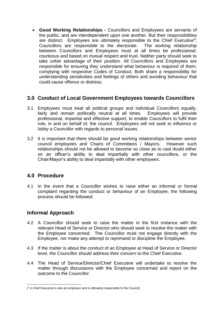**Good Working Relationships -** Councillors and Employees are servants of the public, and are interdependent upon one another. But their responsibilities are distinct. Employees are ultimately responsible to the Chief Executive**<sup>1</sup>** ; Councillors are responsible to the electorate. The working relationship between Councillors and Employees must at all times be professional, courteous and based on mutual respect and trust. Neither party should seek to take unfair advantage of their position. All Councillors and Employees are responsible for ensuring they understand what behaviour is required of them, complying with respective Codes of Conduct. Both share a responsibility for understanding sensitivities and feelings of others and avoiding behaviour that could cause offence or distress.

#### **3.0 Conduct of Local Government Employees towards Councillors**

- 3.1 Employees must treat all political groups and individual Councillors equally, fairly and remain politically neutral at all times. Employees will provide professional, impartial and effective support, to enable Councillors to fulfil their role, in and on behalf of, the council. Employees will not seek to influence or lobby a Councillor with regards to personal issues.
- 3.2 It is important that there should be good working relationships between senior council employees and Chairs of Committees / Mayors. However such relationships should not be allowed to become so close as to cast doubt either on an officer's ability to deal impartially with other councillors, or the Chair/Mayor's ability to deal impartially with other employees.

#### **4.0 Procedure**

4.1 In the event that a Councillor wishes to raise either an informal or formal complaint regarding the conduct or behaviour of an Employee, the following process should be followed:

#### **Informal Approach**

**.** 

- 4.2 A Councillor should seek to raise the matter in the first instance with the relevant Head of Service or Director who should seek to resolve the matter with the Employee concerned. The Councillor must not engage directly with the Employee, nor make any attempt to reprimand or discipline the Employee.
- 4.3 If the matter is about the conduct of an Employee at Head of Service or Director level, the Councillor should address their concern to the Chief Executive.
- 4.4 The Head of Service/Director/Chief Executive will undertake to resolve the matter through discussions with the Employee concerned and report on the outcome to the Councillor.

<sup>[&</sup>lt;sup>1</sup> A Chief Executive is also an employee and is ultimately responsible to the Council]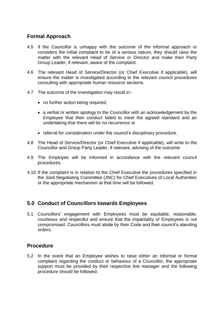#### **Formal Approach**

- 4.5 If the Councillor is unhappy with the outcome of the informal approach or considers the initial complaint to be of a serious nature, they should raise the matter with the relevant Head of Service or Director and make their Party Group Leader, if relevant, aware of the complaint.
- 4.6 The relevant Head of Service/Director (or Chief Executive if applicable), will ensure the matter is investigated according to the relevant council procedures consulting with appropriate human resource sections.
- 4.7 The outcome of the investigation may result in:-
	- no further action being required,
	- a verbal or written apology to the Councillor with an acknowledgement by the Employee that their conduct failed to meet the agreed standard and an undertaking that there will be no recurrence or
	- referral for consideration under the council's disciplinary procedure.
- 4.8 The Head of Service/Director (or Chief Executive if applicable), will write to the Councillor and Group Party Leader, if relevant, advising of the outcome.
- 4.9 The Employee will be informed in accordance with the relevant council procedures.
- 4.10 If the complaint is in relation to the Chief Executive the procedures specified in the Joint Negotiating Committee (JNC) for Chief Executives of Local Authorities or the appropriate mechanism at that time will be followed.

#### **5.0 Conduct of Councillors towards Employees**

5.1 Councillors' engagement with Employees must be equitable, reasonable, courteous and respectful and ensure that the impartiality of Employees is not compromised. Councillors must abide by their Code and their council's standing orders.

#### **Procedure**

5.2 In the event that an Employee wishes to raise either an informal or formal complaint regarding the conduct or behaviour of a Councillor, the appropriate support must be provided by their respective line manager and the following procedure should be followed: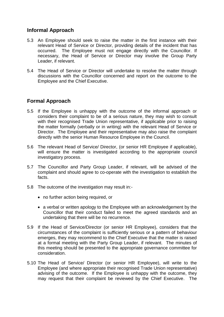#### **Informal Approach**

- 5.3 An Employee should seek to raise the matter in the first instance with their relevant Head of Service or Director, providing details of the incident that has occurred. The Employee must not engage directly with the Councillor. If necessary, the Head of Service or Director may involve the Group Party Leader, if relevant.
- 5.4 The Head of Service or Director will undertake to resolve the matter through discussions with the Councillor concerned and report on the outcome to the Employee and the Chief Executive.

#### **Formal Approach**

- 5.5 If the Employee is unhappy with the outcome of the informal approach or considers their complaint to be of a serious nature, they may wish to consult with their recognised Trade Union representative, if applicable prior to raising the matter formally (verbally or in writing) with the relevant Head of Service or Director. The Employee and their representative may also raise the complaint directly with the senior Human Resource Employee in the Council.
- 5.6 The relevant Head of Service/ Director, (or senior HR Employee if applicable), will ensure the matter is investigated according to the appropriate council investigatory process.
- 5.7 The Councillor and Party Group Leader, if relevant, will be advised of the complaint and should agree to co-operate with the investigation to establish the facts.
- 5.8 The outcome of the investigation may result in:-
	- no further action being required, or
	- a verbal or written apology to the Employee with an acknowledgement by the Councillor that their conduct failed to meet the agreed standards and an undertaking that there will be no recurrence.
- 5.9 If the Head of Service/Director (or senior HR Employee), considers that the circumstances of the complaint is sufficiently serious or a pattern of behaviour emerges, they may recommend to the Chief Executive that the matter is raised at a formal meeting with the Party Group Leader, if relevant. The minutes of this meeting should be presented to the appropriate governance committee for consideration.
- 5.10 The Head of Service/ Director (or senior HR Employee), will write to the Employee (and where appropriate their recognised Trade Union representative) advising of the outcome. If the Employee is unhappy with the outcome, they may request that their complaint be reviewed by the Chief Executive. The